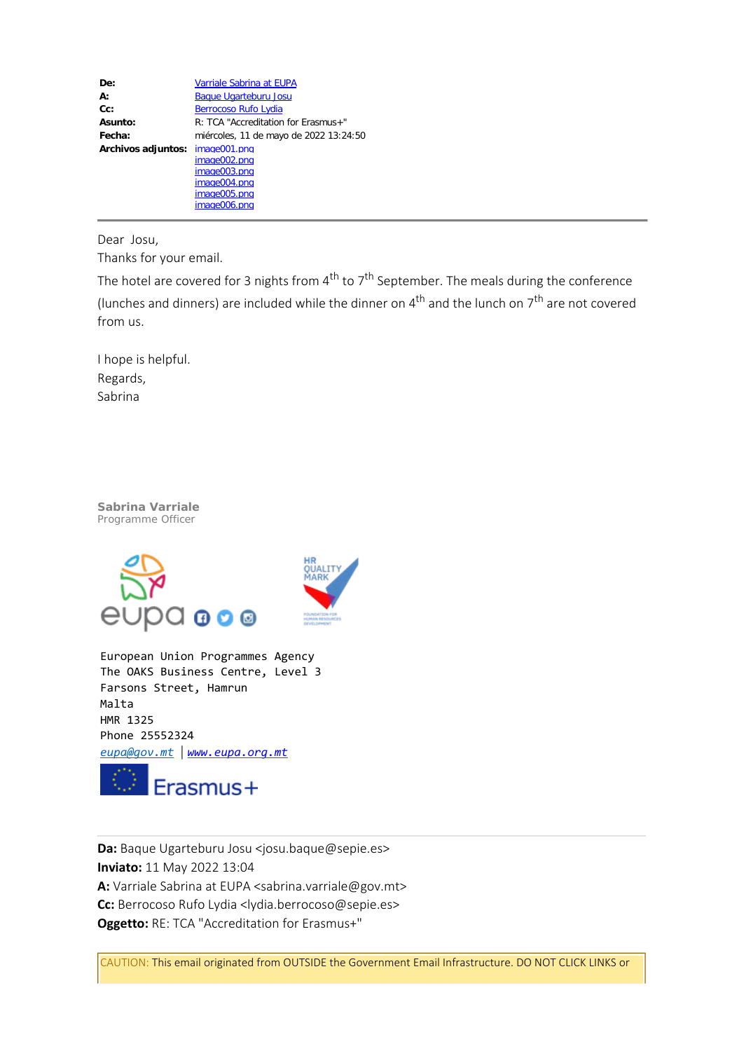| De:                | Varriale Sabrina at EUPA               |
|--------------------|----------------------------------------|
| $A$ :              | <b>Baque Ugarteburu Josu</b>           |
| $Cc$ :             | <b>Berrocoso Rufo Lydia</b>            |
| Asunto:            | R: TCA "Accreditation for Erasmus+"    |
| Fecha:             | miércoles, 11 de mayo de 2022 13:24:50 |
| Archivos adjuntos: | image001.png                           |
|                    | image002.png                           |
|                    | image003.png                           |
|                    | image004.png                           |
|                    | image005.png                           |
|                    | image006.png                           |

Dear Josu,

Thanks for your email.

The hotel are covered for 3 nights from  $4^{th}$  to  $7^{th}$  September. The meals during the conference (lunches and dinners) are included while the dinner on  $4^{th}$  and the lunch on  $7^{th}$  are not covered from us.

I hope is helpful. Regards, Sabrina

*Sabrina Varriale Programme Officer*



European Union Programmes Agency The OAKS Business Centre, Level 3 Farsons Street, Hamrun Malta HMR 1325 Phone 25552324 *[eupa@gov.mt](mailto:eupa@gov.mt)* | *[www.eupa.org.mt](http://www.eupa.org.mt/)*



**Da:** Baque Ugarteburu Josu <josu.baque@sepie.es> **Inviato:** 11 May 2022 13:04 **A:** Varriale Sabrina at EUPA <sabrina.varriale@gov.mt> **Cc:** Berrocoso Rufo Lydia <lydia.berrocoso@sepie.es> **Oggetto:** RE: TCA "Accreditation for Erasmus+"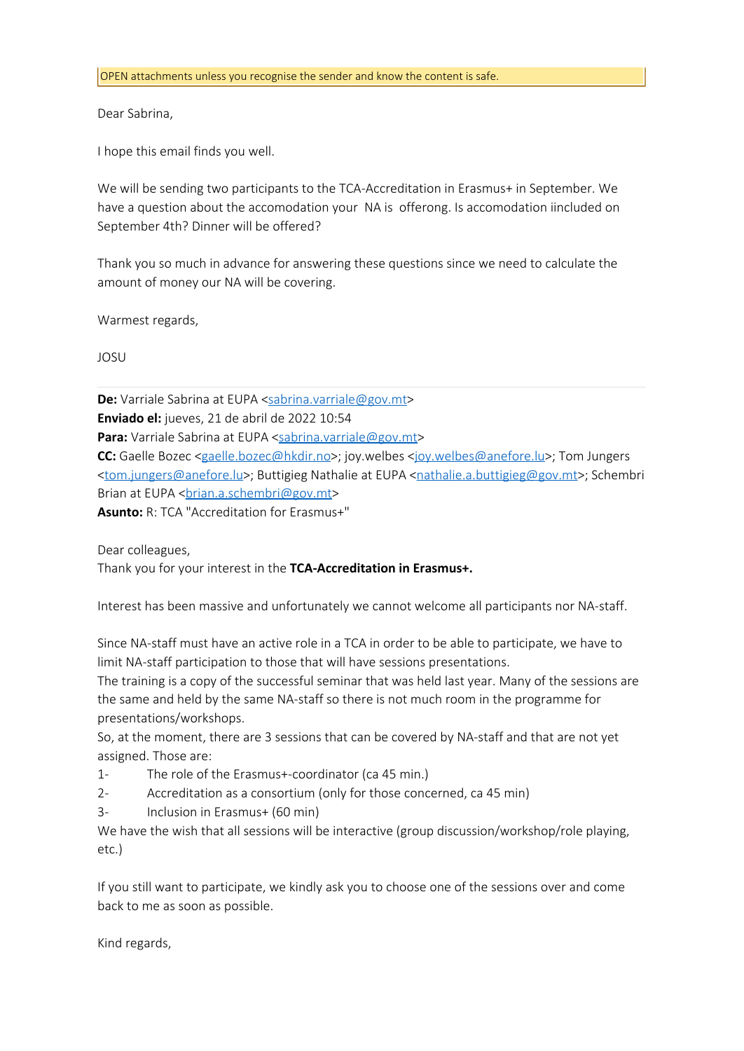## Dear Sabrina,

I hope this email finds you well.

We will be sending two participants to the TCA-Accreditation in Erasmus+ in September. We have a question about the accomodation your NA is offerong. Is accomodation iincluded on September 4th? Dinner will be offered?

Thank you so much in advance for answering these questions since we need to calculate the amount of money our NA will be covering.

Warmest regards,

JOSU

**De:** Varriale Sabrina at EUPA <[sabrina.varriale@gov.mt>](mailto:sabrina.varriale@gov.mt) **Enviado el:** jueves, 21 de abril de 2022 10:54 Para: Varriale Sabrina at EUPA [<sabrina.varriale@gov.mt](mailto:sabrina.varriale@gov.mt)> **CC:** Gaelle Bozec [<gaelle.bozec@hkdir.no](mailto:gaelle.bozec@hkdir.no)>; joy.welbes <[joy.welbes@anefore.lu](mailto:joy.welbes@anefore.lu)>; Tom Jungers [<tom.jungers@anefore.lu](mailto:tom.jungers@anefore.lu)>; Buttigieg Nathalie at EUPA [<nathalie.a.buttigieg@gov.mt](mailto:nathalie.a.buttigieg@gov.mt)>; Schembri Brian at EUPA < brian.a.schembri@gov.mt>

**Asunto:** R: TCA "Accreditation for Erasmus+"

Dear colleagues,

Thank you for your interest in the **TCA-Accreditation in Erasmus+.**

Interest has been massive and unfortunately we cannot welcome all participants nor NA-staff.

Since NA-staff must have an active role in a TCA in order to be able to participate, we have to limit NA-staff participation to those that will have sessions presentations.

The training is a copy of the successful seminar that was held last year. Many of the sessions are the same and held by the same NA-staff so there is not much room in the programme for presentations/workshops.

So, at the moment, there are 3 sessions that can be covered by NA-staff and that are not yet assigned. Those are:

- 1- The role of the Erasmus+-coordinator (ca 45 min.)
- 2- Accreditation as a consortium (only for those concerned, ca 45 min)
- 3- Inclusion in Erasmus+ (60 min)

We have the wish that all sessions will be interactive (group discussion/workshop/role playing, etc.)

If you still want to participate, we kindly ask you to choose one of the sessions over and come back to me as soon as possible.

Kind regards,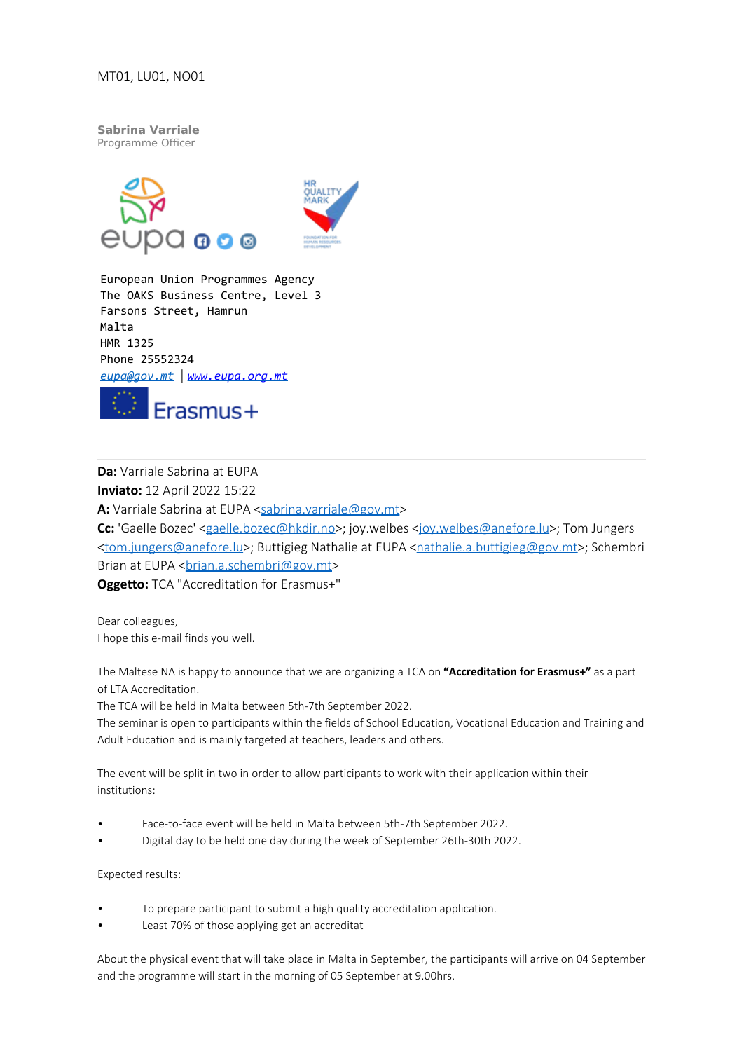*Sabrina Varriale Programme Officer*





European Union Programmes Agency The OAKS Business Centre, Level 3 Farsons Street, Hamrun Malta HMR 1325 Phone 25552324 *[eupa@gov.mt](mailto:eupa@gov.mt)* | *[www.eupa.org.mt](https://eur01.safelinks.protection.outlook.com/?url=http%3A%2F%2Fwww.eupa.org.mt%2F&data=05%7C01%7Csabrina.varriale%40gov.mt%7Cad30fa8f7d8a4c22fe3508da333dff61%7C34cdd9f55db849bcacba01f65cca680d%7C0%7C0%7C637878638631408739%7CUnknown%7CTWFpbGZsb3d8eyJWIjoiMC4wLjAwMDAiLCJQIjoiV2luMzIiLCJBTiI6Ik1haWwiLCJXVCI6Mn0%3D%7C3000%7C%7C%7C&sdata=6QDL5H4ZwaJ3aiZJ3dkL7FKSKFSd%2B7Nv9l7VddjBTlY%3D&reserved=0)*



**Da:** Varriale Sabrina at EUPA **Inviato:** 12 April 2022 15:22 A: Varriale Sabrina at EUPA <[sabrina.varriale@gov.mt>](mailto:sabrina.varriale@gov.mt) **Cc:** 'Gaelle Bozec' [<gaelle.bozec@hkdir.no](mailto:gaelle.bozec@hkdir.no)>; joy.welbes [<joy.welbes@anefore.lu](mailto:joy.welbes@anefore.lu)>; Tom Jungers [<tom.jungers@anefore.lu](mailto:tom.jungers@anefore.lu)>; Buttigieg Nathalie at EUPA [<nathalie.a.buttigieg@gov.mt](mailto:nathalie.a.buttigieg@gov.mt)>; Schembri Brian at EUPA < brian.a.schembri@gov.mt> **Oggetto:** TCA "Accreditation for Erasmus+"

Dear colleagues, I hope this e-mail finds you well.

The Maltese NA is happy to announce that we are organizing a TCA on **"Accreditation for Erasmus+"** as a part of LTA Accreditation.

The TCA will be held in Malta between 5th-7th September 2022.

The seminar is open to participants within the fields of School Education, Vocational Education and Training and Adult Education and is mainly targeted at teachers, leaders and others.

The event will be split in two in order to allow participants to work with their application within their institutions:

- Face-to-face event will be held in Malta between 5th-7th September 2022.
- Digital day to be held one day during the week of September 26th-30th 2022.

Expected results:

- To prepare participant to submit a high quality accreditation application.
- Least 70% of those applying get an accreditat

About the physical event that will take place in Malta in September, the participants will arrive on 04 September and the programme will start in the morning of 05 September at 9.00hrs.